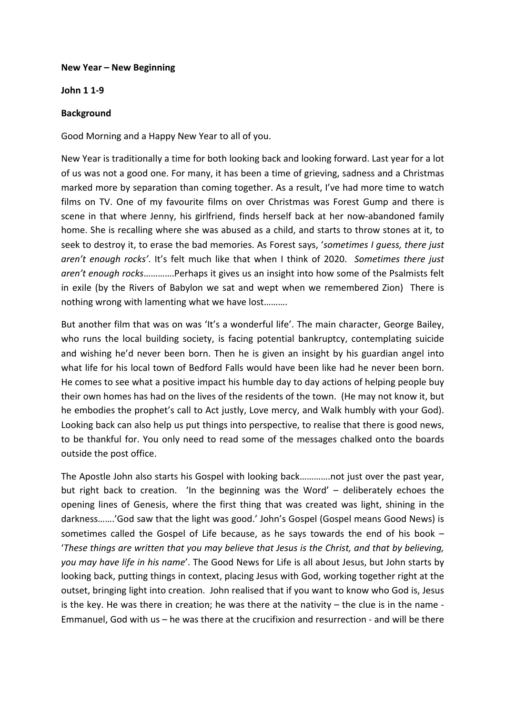## **New Year – New Beginning**

## **John 1 1-9**

## **Background**

Good Morning and a Happy New Year to all of you.

New Year is traditionally a time for both looking back and looking forward. Last year for a lot of us was not a good one. For many, it has been a time of grieving, sadness and a Christmas marked more by separation than coming together. As a result, I've had more time to watch films on TV. One of my favourite films on over Christmas was Forest Gump and there is scene in that where Jenny, his girlfriend, finds herself back at her now-abandoned family home. She is recalling where she was abused as a child, and starts to throw stones at it, to seek to destroy it, to erase the bad memories. As Forest says, '*sometimes I guess, there just aren't enough rocks'*. It's felt much like that when I think of 2020. *Sometimes there just aren't enough rocks*………….Perhaps it gives us an insight into how some of the Psalmists felt in exile (by the Rivers of Babylon we sat and wept when we remembered Zion) There is nothing wrong with lamenting what we have lost……….

But another film that was on was 'It's a wonderful life'. The main character, George Bailey, who runs the local building society, is facing potential bankruptcy, contemplating suicide and wishing he'd never been born. Then he is given an insight by his guardian angel into what life for his local town of Bedford Falls would have been like had he never been born. He comes to see what a positive impact his humble day to day actions of helping people buy their own homes has had on the lives of the residents of the town. (He may not know it, but he embodies the prophet's call to Act justly, Love mercy, and Walk humbly with your God). Looking back can also help us put things into perspective, to realise that there is good news, to be thankful for. You only need to read some of the messages chalked onto the boards outside the post office.

The Apostle John also starts his Gospel with looking back………….not just over the past year, but right back to creation. 'In the beginning was the Word' – deliberately echoes the opening lines of Genesis, where the first thing that was created was light, shining in the darkness…….'God saw that the light was good.' John's Gospel (Gospel means Good News) is sometimes called the Gospel of Life because, as he says towards the end of his book – '*These things are written that you may believe that Jesus is the Christ, and that by believing, you may have life in his name*'. The Good News for Life is all about Jesus, but John starts by looking back, putting things in context, placing Jesus with God, working together right at the outset, bringing light into creation. John realised that if you want to know who God is, Jesus is the key. He was there in creation; he was there at the nativity  $-$  the clue is in the name -Emmanuel, God with us – he was there at the crucifixion and resurrection - and will be there